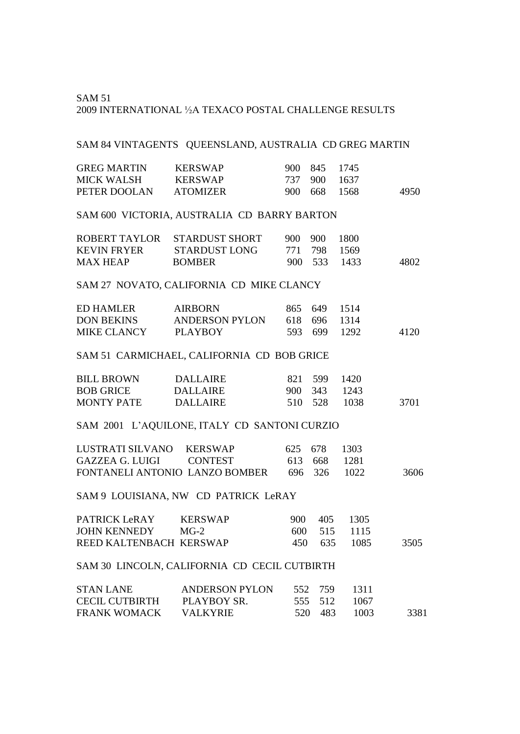#### SAM 51 <sup>2009</sup> INTERNATIONAL ½A TEXACO POSTAL CHALLENGE RESULTS

#### SAM 84 VINTAGENTS QUEENSLAND, AUSTRALIA CD GREG MARTIN

| <b>GREG MARTIN</b> | <b>KERSWAP</b>  | 900 845 1745 |      |
|--------------------|-----------------|--------------|------|
| MICK WALSH         | <b>KERSWAP</b>  | 737 900 1637 |      |
| PETER DOOLAN       | <b>ATOMIZER</b> | 900 668 1568 | 4950 |

## SAM 600 VICTORIA, AUSTRALIA CD BARRY BARTON

|                    | ROBERT TAYLOR STARDUST SHORT | 900 900 1800 |      |
|--------------------|------------------------------|--------------|------|
| <b>KEVIN FRYER</b> | STARDUST LONG                | 771 798 1569 |      |
| <b>MAX HEAP</b>    | <b>BOMBER</b>                | 900 533 1433 | 4802 |

### SAM 27 NOVATO, CALIFORNIA CD MIKE CLANCY

| ED HAMLER         | <b>AIRBORN</b> | 865 649 1514 |      |
|-------------------|----------------|--------------|------|
| <b>DON BEKINS</b> | ANDERSON PYLON | 618 696 1314 |      |
| MIKE CLANCY       | PLAYBOY        | 593 699 1292 | 4120 |

#### SAM 51 CARMICHAEL, CALIFORNIA CD BOB GRICE

| <b>BILL BROWN</b> | DALLAIRE |         | 821 599 1420 |        |      |
|-------------------|----------|---------|--------------|--------|------|
| <b>BOB GRICE</b>  | DALLAIRE |         | 900 343 1243 |        |      |
| <b>MONTY PATE</b> | DALLAIRE | 510 528 |              | - 1038 | 3701 |

## SAM 2001 L'AQUILONE, ITALY CD SANTONI CURZIO

| LUSTRATI SILVANO KERSWAP       |  | 625 678 1303 |      |
|--------------------------------|--|--------------|------|
|                                |  | 613 668 1281 |      |
| FONTANELI ANTONIO LANZO BOMBER |  | 696 326 1022 | 3606 |

### SAM 9 LOUISIANA, NW CD PATRICK LeRAY

| PATRICK LeRAY           | <b>KERSWAP</b> | 900. | 405 1305     |      |
|-------------------------|----------------|------|--------------|------|
| JOHN KENNEDY MG-2       |                |      | 600 515 1115 |      |
| REED KALTENBACH KERSWAP |                |      | 450 635 1085 | 3505 |

#### SAM 30 LINCOLN, CALIFORNIA CD CECIL CUTBIRTH

| <b>STAN LANE</b>      | ANDERSON PYLON |         | 552 759 1311 |      |
|-----------------------|----------------|---------|--------------|------|
| CECIL CUTBIRTH        | PLAYBOY SR.    |         | 555 512 1067 |      |
| FRANK WOMACK VALKYRIE |                | 520 483 | -1003        | 3381 |